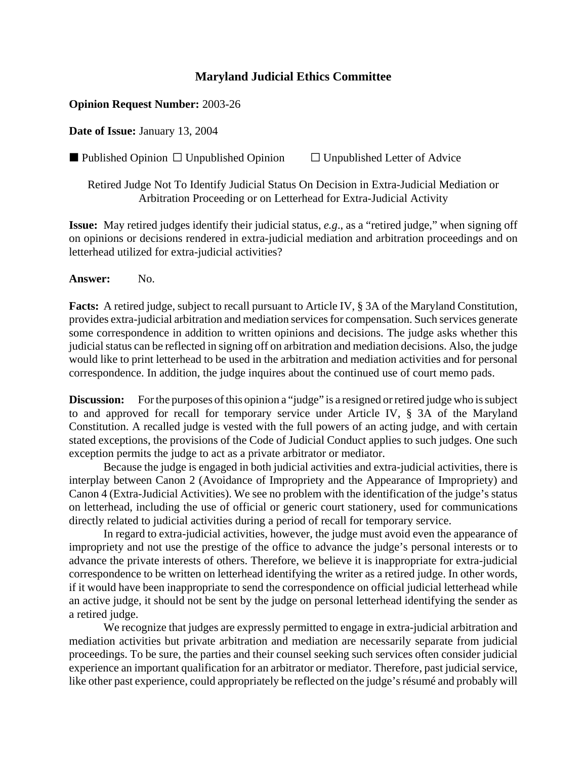## **Maryland Judicial Ethics Committee**

## **Opinion Request Number:** 2003-26

**Date of Issue:** January 13, 2004

Published Opinion  $\Box$  Unpublished Opinion  $\Box$  Unpublished Letter of Advice

Retired Judge Not To Identify Judicial Status On Decision in Extra-Judicial Mediation or Arbitration Proceeding or on Letterhead for Extra-Judicial Activity

**Issue:** May retired judges identify their judicial status, *e.g*., as a "retired judge," when signing off on opinions or decisions rendered in extra-judicial mediation and arbitration proceedings and on letterhead utilized for extra-judicial activities?

**Answer:** No.

**Facts:** A retired judge, subject to recall pursuant to Article IV, § 3A of the Maryland Constitution, provides extra-judicial arbitration and mediation services for compensation. Such services generate some correspondence in addition to written opinions and decisions. The judge asks whether this judicial status can be reflected in signing off on arbitration and mediation decisions. Also, the judge would like to print letterhead to be used in the arbitration and mediation activities and for personal correspondence. In addition, the judge inquires about the continued use of court memo pads.

**Discussion:** For the purposes of this opinion a "judge" is a resigned or retired judge who is subject to and approved for recall for temporary service under Article IV, § 3A of the Maryland Constitution. A recalled judge is vested with the full powers of an acting judge, and with certain stated exceptions, the provisions of the Code of Judicial Conduct applies to such judges. One such exception permits the judge to act as a private arbitrator or mediator.

Because the judge is engaged in both judicial activities and extra-judicial activities, there is interplay between Canon 2 (Avoidance of Impropriety and the Appearance of Impropriety) and Canon 4 (Extra-Judicial Activities). We see no problem with the identification of the judge's status on letterhead, including the use of official or generic court stationery, used for communications directly related to judicial activities during a period of recall for temporary service.

In regard to extra-judicial activities, however, the judge must avoid even the appearance of impropriety and not use the prestige of the office to advance the judge's personal interests or to advance the private interests of others. Therefore, we believe it is inappropriate for extra-judicial correspondence to be written on letterhead identifying the writer as a retired judge. In other words, if it would have been inappropriate to send the correspondence on official judicial letterhead while an active judge, it should not be sent by the judge on personal letterhead identifying the sender as a retired judge.

We recognize that judges are expressly permitted to engage in extra-judicial arbitration and mediation activities but private arbitration and mediation are necessarily separate from judicial proceedings. To be sure, the parties and their counsel seeking such services often consider judicial experience an important qualification for an arbitrator or mediator. Therefore, past judicial service, like other past experience, could appropriately be reflected on the judge's résumé and probably will